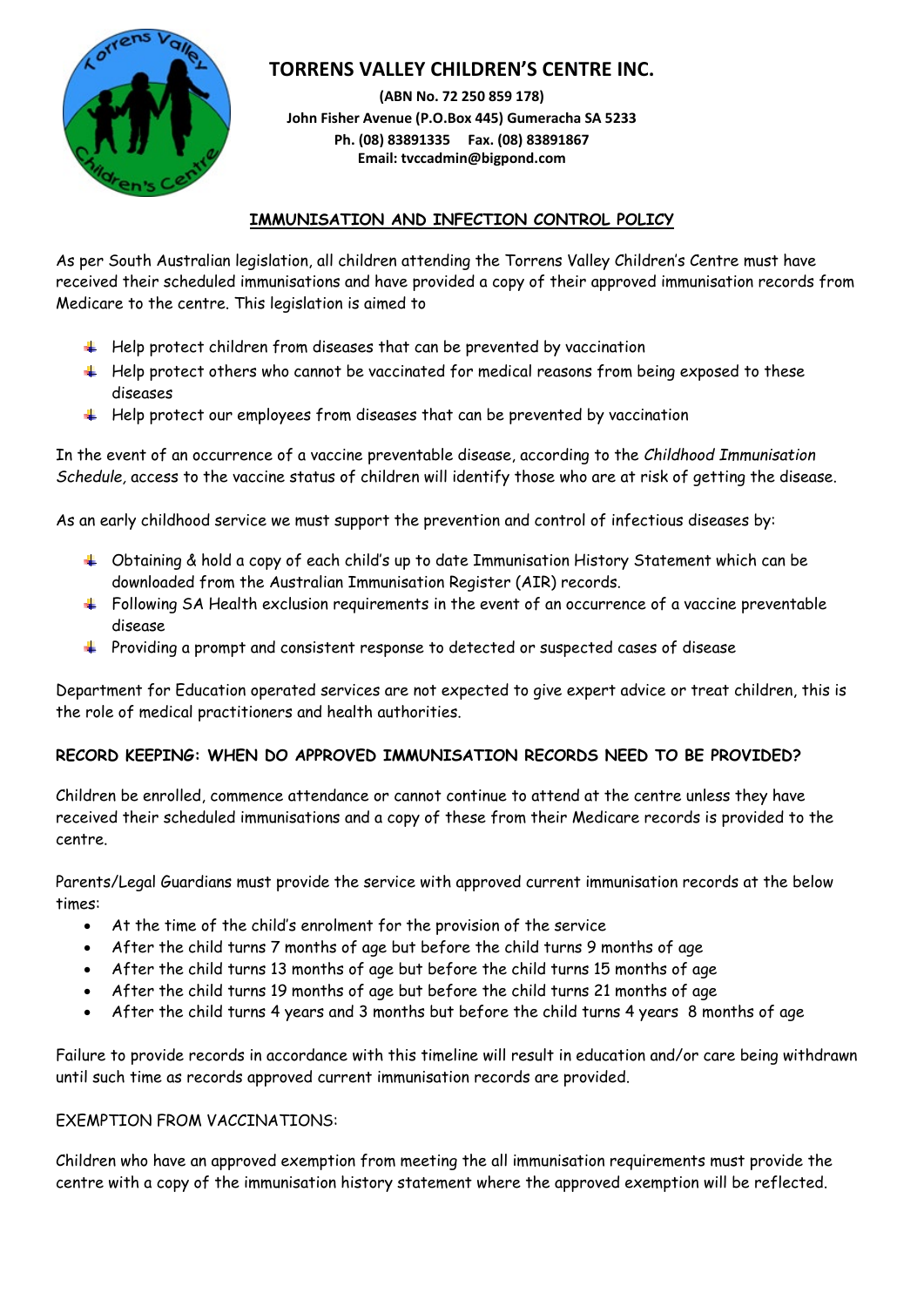

# **TORRENS VALLEY CHILDREN'S CENTRE INC.**

**(ABN No. 72 250 859 178) John Fisher Avenue (P.O.Box 445) Gumeracha SA 5233 Ph. (08) 83891335 Fax. (08) 83891867 Email: tvccadmin@bigpond.com**

### **IMMUNISATION AND INFECTION CONTROL POLICY**

As per South Australian legislation, all children attending the Torrens Valley Children's Centre must have received their scheduled immunisations and have provided a copy of their approved immunisation records from Medicare to the centre. This legislation is aimed to

- $\ddot{\phantom{1}}$  Help protect children from diseases that can be prevented by vaccination
- $\pm$  Help protect others who cannot be vaccinated for medical reasons from being exposed to these diseases
- $\ddot{\phantom{1}}$  Help protect our employees from diseases that can be prevented by vaccination

In the event of an occurrence of a vaccine preventable disease, according to the *Childhood Immunisation Schedule,* access to the vaccine status of children will identify those who are at risk of getting the disease.

As an early childhood service we must support the prevention and control of infectious diseases by:

- $\hbox{\large\rlap{-}4}$  Obtaining & hold a copy of each child's up to date Immunisation History Statement which can be downloaded from the Australian Immunisation Register (AIR) records.
- $\ddot{\phantom{1}}$  Following SA Health exclusion requirements in the event of an occurrence of a vaccine preventable disease
- Providing a prompt and consistent response to detected or suspected cases of disease

Department for Education operated services are not expected to give expert advice or treat children, this is the role of medical practitioners and health authorities.

#### **RECORD KEEPING: WHEN DO APPROVED IMMUNISATION RECORDS NEED TO BE PROVIDED?**

Children be enrolled, commence attendance or cannot continue to attend at the centre unless they have received their scheduled immunisations and a copy of these from their Medicare records is provided to the centre.

Parents/Legal Guardians must provide the service with approved current immunisation records at the below times:

- At the time of the child's enrolment for the provision of the service
- After the child turns 7 months of age but before the child turns 9 months of age
- After the child turns 13 months of age but before the child turns 15 months of age
- After the child turns 19 months of age but before the child turns 21 months of age
- After the child turns 4 years and 3 months but before the child turns 4 years 8 months of age

Failure to provide records in accordance with this timeline will result in education and/or care being withdrawn until such time as records approved current immunisation records are provided.

#### EXEMPTION FROM VACCINATIONS:

Children who have an approved exemption from meeting the all immunisation requirements must provide the centre with a copy of the immunisation history statement where the approved exemption will be reflected.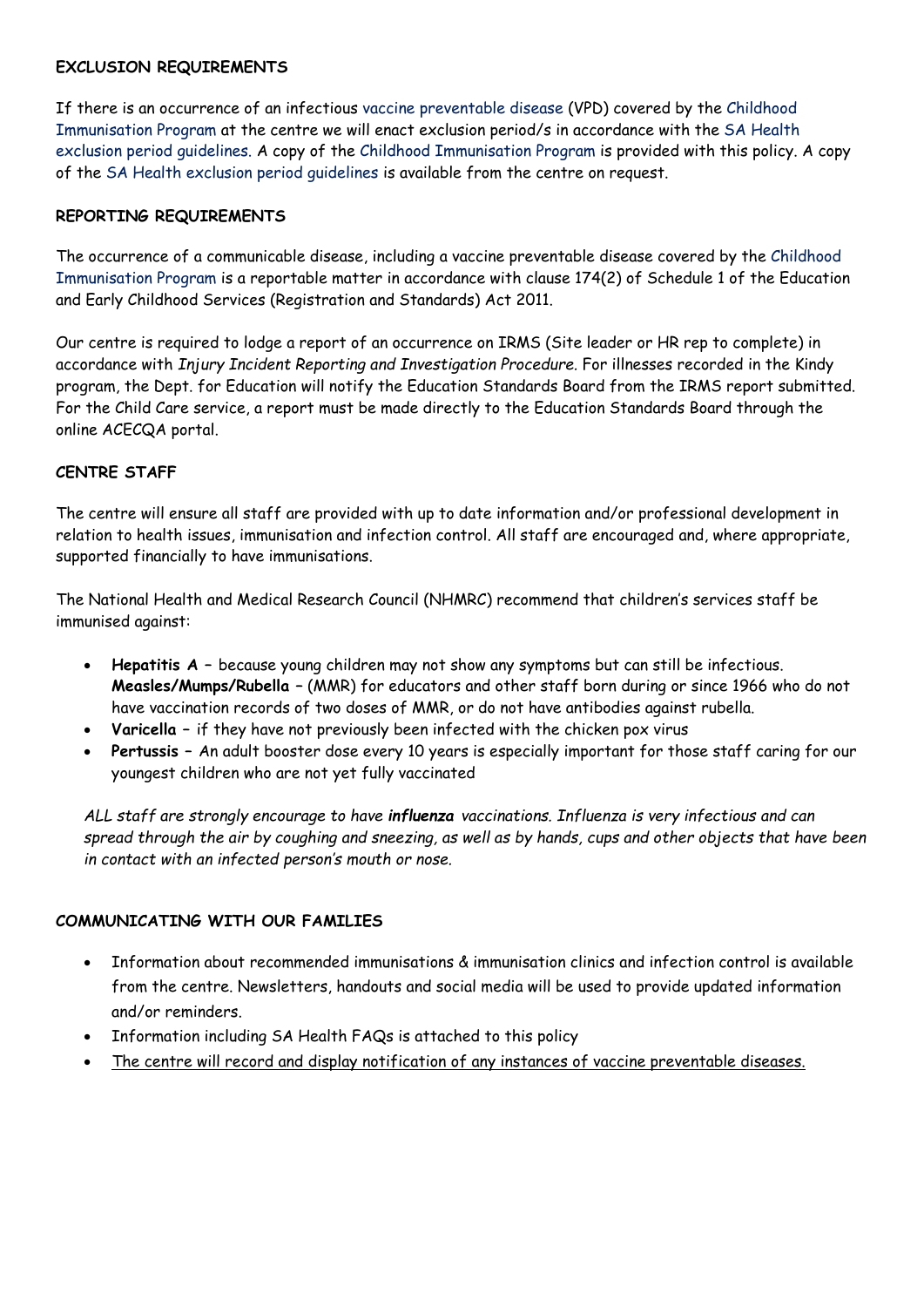#### **EXCLUSION REQUIREMENTS**

If there is an occurrence of an infectious vaccine preventable disease (VPD) covered by the Childhood Immunisation Program at the centre we will enact exclusion period/s in accordance with the SA Health exclusion period guidelines. A copy of the Childhood Immunisation Program is provided with this policy. A copy of the SA Health exclusion period guidelines is available from the centre on request.

#### **REPORTING REQUIREMENTS**

The occurrence of a communicable disease, including a vaccine preventable disease covered by the Childhood Immunisation Program is a reportable matter in accordance with clause 174(2) of Schedule 1 of the Education and Early Childhood Services (Registration and Standards) Act 2011.

Our centre is required to lodge a report of an occurrence on IRMS (Site leader or HR rep to complete) in accordance with *Injury Incident Reporting and Investigation Procedure.* For illnesses recorded in the Kindy program, the Dept. for Education will notify the Education Standards Board from the IRMS report submitted. For the Child Care service, a report must be made directly to the Education Standards Board through the online ACECQA portal.

#### **CENTRE STAFF**

The centre will ensure all staff are provided with up to date information and/or professional development in relation to health issues, immunisation and infection control. All staff are encouraged and, where appropriate, supported financially to have immunisations.

The National Health and Medical Research Council (NHMRC) recommend that children's services staff be immunised against:

- **Hepatitis A –** because young children may not show any symptoms but can still be infectious. **Measles/Mumps/Rubella –** (MMR) for educators and other staff born during or since 1966 who do not have vaccination records of two doses of MMR, or do not have antibodies against rubella.
- **Varicella –** if they have not previously been infected with the chicken pox virus
- **Pertussis –** An adult booster dose every 10 years is especially important for those staff caring for our youngest children who are not yet fully vaccinated

*ALL staff are strongly encourage to have influenza vaccinations. Influenza is very infectious and can spread through the air by coughing and sneezing, as well as by hands, cups and other objects that have been in contact with an infected person's mouth or nose.*

#### **COMMUNICATING WITH OUR FAMILIES**

- Information about recommended immunisations & immunisation clinics and infection control is available from the centre. Newsletters, handouts and social media will be used to provide updated information and/or reminders.
- Information including SA Health FAQs is attached to this policy
- The centre will record and display notification of any instances of vaccine preventable diseases.